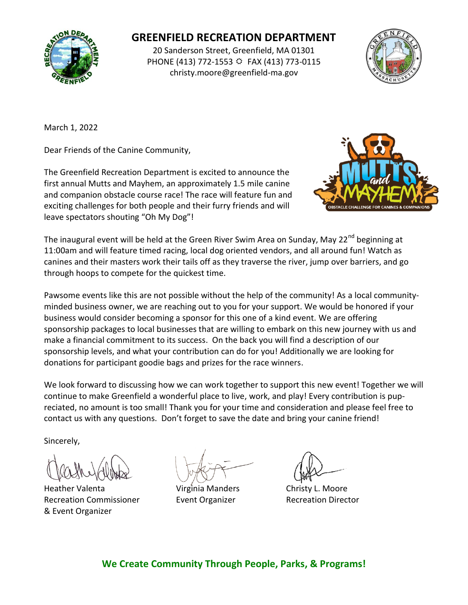

### **GREENFIELD RECREATION DEPARTMENT**

20 Sanderson Street, Greenfield, MA 01301 PHONE (413) 772-1553 FAX (413) 773-0115 christy.moore@greenfield-ma.gov



March 1, 2022

Dear Friends of the Canine Community,

The Greenfield Recreation Department is excited to announce the first annual Mutts and Mayhem, an approximately 1.5 mile canine and companion obstacle course race! The race will feature fun and exciting challenges for both people and their furry friends and will leave spectators shouting "Oh My Dog"!



The inaugural event will be held at the Green River Swim Area on Sunday, May 22<sup>nd</sup> beginning at 11:00am and will feature timed racing, local dog oriented vendors, and all around fun! Watch as canines and their masters work their tails off as they traverse the river, jump over barriers, and go through hoops to compete for the quickest time.

Pawsome events like this are not possible without the help of the community! As a local communityminded business owner, we are reaching out to you for your support. We would be honored if your business would consider becoming a sponsor for this one of a kind event. We are offering sponsorship packages to local businesses that are willing to embark on this new journey with us and make a financial commitment to its success. On the back you will find a description of our sponsorship levels, and what your contribution can do for you! Additionally we are looking for donations for participant goodie bags and prizes for the race winners.

We look forward to discussing how we can work together to support this new event! Together we will continue to make Greenfield a wonderful place to live, work, and play! Every contribution is pupreciated, no amount is too small! Thank you for your time and consideration and please feel free to contact us with any questions. Don't forget to save the date and bring your canine friend!

Sincerely,

Heather Valenta Virginia Manders Christy L. Moore Recreation Commissioner **Event Organizer** Recreation Director & Event Organizer

#### **We Create Community Through People, Parks, & Programs!**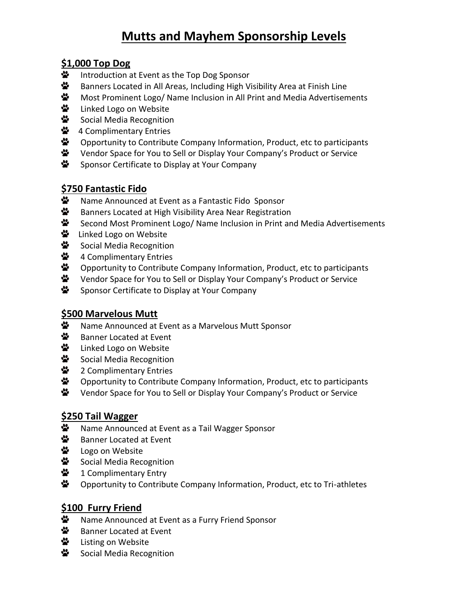## **Mutts and Mayhem Sponsorship Levels**

#### **\$1,000 Top Dog**

- ₩ Introduction at Event as the Top Dog Sponsor
- $\ddot{\bullet}$ Banners Located in All Areas, Including High Visibility Area at Finish Line
- ÷. Most Prominent Logo/ Name Inclusion in All Print and Media Advertisements
- ₩ Linked Logo on Website
- $\ddot{\bullet}$ Social Media Recognition
- $\ddot{\bullet}$ 4 Complimentary Entries
- ₩ Opportunity to Contribute Company Information, Product, etc to participants
- $\ddot{\bullet}$ Vendor Space for You to Sell or Display Your Company's Product or Service
- ₩ Sponsor Certificate to Display at Your Company

#### **\$750 Fantastic Fido**

- ₩ Name Announced at Event as a Fantastic Fido Sponsor
- ₩ Banners Located at High Visibility Area Near Registration
- $\ddot{\bullet}$ Second Most Prominent Logo/ Name Inclusion in Print and Media Advertisements
- ÷. Linked Logo on Website
- ₩ Social Media Recognition
- ₩ 4 Complimentary Entries
- $\ddot{\bullet}$ Opportunity to Contribute Company Information, Product, etc to participants
- ₩ Vendor Space for You to Sell or Display Your Company's Product or Service
- $\ddot{\bullet}$ Sponsor Certificate to Display at Your Company

#### **\$500 Marvelous Mutt**

- ₩ Name Announced at Event as a Marvelous Mutt Sponsor
- $\ddot{\bullet}$ Banner Located at Event
- ₩ Linked Logo on Website
- ÷ Social Media Recognition
- ₩ 2 Complimentary Entries
- ₩ Opportunity to Contribute Company Information, Product, etc to participants
- ₩ Vendor Space for You to Sell or Display Your Company's Product or Service

#### **\$250 Tail Wagger**

- ☆ Name Announced at Event as a Tail Wagger Sponsor
- ₩ Banner Located at Event
- ₩ Logo on Website
- ₩ Social Media Recognition
- ₩ 1 Complimentary Entry
- $\ddot{\bullet}$ Opportunity to Contribute Company Information, Product, etc to Tri-athletes

#### **\$100 Furry Friend**

- ₩ Name Announced at Event as a Furry Friend Sponsor
- $\ddot{\bullet}$ Banner Located at Event
- ₩ Listing on Website
- ₩ Social Media Recognition